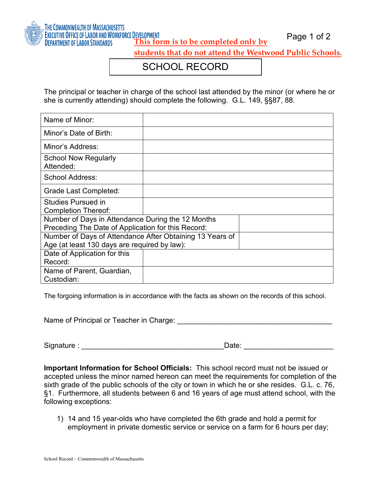

Page 1 of 2 **This form is to be completed only by** 

**students that do not attend the Westwood Public Schools.**

## SCHOOL RECORD

The principal or teacher in charge of the school last attended by the minor (or where he or she is currently attending) should complete the following. G.L. 149, §§87, 88.

| Name of Minor:                                                                                          |  |
|---------------------------------------------------------------------------------------------------------|--|
| Minor's Date of Birth:                                                                                  |  |
| Minor's Address:                                                                                        |  |
| School Now Regularly<br>Attended:                                                                       |  |
| School Address:                                                                                         |  |
| Grade Last Completed:                                                                                   |  |
| <b>Studies Pursued in</b><br><b>Completion Thereof:</b>                                                 |  |
| Number of Days in Attendance During the 12 Months<br>Preceding The Date of Application for this Record: |  |
| Number of Days of Attendance After Obtaining 13 Years of                                                |  |
| Age (at least 130 days are required by law):                                                            |  |
| Date of Application for this                                                                            |  |
| Record:                                                                                                 |  |
| Name of Parent, Guardian,                                                                               |  |
| Custodian:                                                                                              |  |

The forgoing information is in accordance with the facts as shown on the records of this school.

Name of Principal or Teacher in Charge:  $\blacksquare$ 

Signature : \_\_\_\_\_\_\_\_\_\_\_\_\_\_\_\_\_\_\_\_\_\_\_\_\_\_\_\_\_\_\_\_\_\_\_Date: \_\_\_\_\_\_\_\_\_\_\_\_\_\_\_\_\_\_\_\_\_\_

**Important Information for School Officials:** This school record must not be issued or accepted unless the minor named hereon can meet the requirements for completion of the sixth grade of the public schools of the city or town in which he or she resides. G.L. c. 76, §1. Furthermore, all students between 6 and 16 years of age must attend school, with the following exceptions:

1) 14 and 15 year-olds who have completed the 6th grade and hold a permit for employment in private domestic service or service on a farm for 6 hours per day;